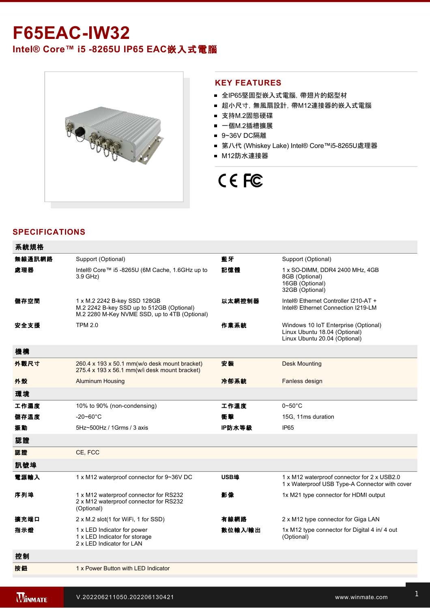# **F65EAC-IW32**

Intel® Core™ i5 -8265U IP65 EAC嵌入式電腦



# **KEY FEATURES**

- 全IP65堅固型嵌入式電腦, 帶翅片的鋁型材
- 超小尺寸, 無風扇設計, 帶M12連接器的嵌入式電腦
- 支持M.2固態硬碟
- 一個M.2插槽擴展
- 9~36V DC隔離
- 第八代 (Whiskey Lake) Intel® Core™i5-8265U處理器
- M12防水連接器

# CE FC

# **SPECIFICATIONS**

 $76.46 + 10.46$ 

| 术机劢作   |                                                                                                                            |         |                                                                                                        |
|--------|----------------------------------------------------------------------------------------------------------------------------|---------|--------------------------------------------------------------------------------------------------------|
| 無線通訊網路 | Support (Optional)                                                                                                         | 藍牙      | Support (Optional)                                                                                     |
| 處理器    | Intel® Core™ i5 -8265U (6M Cache, 1.6GHz up to<br>3.9 GHz)                                                                 | 記憶體     | 1 x SO-DIMM, DDR4 2400 MHz, 4GB<br>8GB (Optional)<br>16GB (Optional)<br>32GB (Optional)                |
| 儲存空間   | 1 x M.2 2242 B-key SSD 128GB<br>M.2 2242 B-key SSD up to 512GB (Optional)<br>M.2 2280 M-Key NVME SSD, up to 4TB (Optional) | 以太網控制器  | Intel® Ethernet Controller I210-AT +<br>Intel <sup>®</sup> Ethernet Connection I219-LM                 |
| 安全支援   | <b>TPM 2.0</b>                                                                                                             | 作業系統    | Windows 10 IoT Enterprise (Optional)<br>Linux Ubuntu 18.04 (Optional)<br>Linux Ubuntu 20.04 (Optional) |
| 機構     |                                                                                                                            |         |                                                                                                        |
| 外觀尺寸   | 260.4 x 193 x 50.1 mm(w/o desk mount bracket)<br>275.4 x 193 x 56.1 mm(w/i desk mount bracket)                             | 安装      | <b>Desk Mounting</b>                                                                                   |
| 外殼     | <b>Aluminum Housing</b>                                                                                                    | 冷卻系統    | Fanless design                                                                                         |
| 環境     |                                                                                                                            |         |                                                                                                        |
| 工作濕度   | 10% to 90% (non-condensing)                                                                                                | 工作溫度    | $0\neg 50^\circ C$                                                                                     |
| 儲存溫度   | $-20 - 60^{\circ}$ C                                                                                                       | 衝擊      | 15G, 11ms duration                                                                                     |
| 振動     | 5Hz~500Hz / 1Grms / 3 axis                                                                                                 | IP防水等級  | <b>IP65</b>                                                                                            |
| 認證     |                                                                                                                            |         |                                                                                                        |
| 認證     | CE, FCC                                                                                                                    |         |                                                                                                        |
| 訊號埠    |                                                                                                                            |         |                                                                                                        |
| 電源輸入   | 1 x M12 waterproof connector for 9~36V DC                                                                                  | USB埠    | 1 x M12 waterproof connector for 2 x USB2.0<br>1 x Waterproof USB Type-A Connector with cover          |
| 序列埠    | 1 x M12 waterproof connector for RS232<br>2 x M12 waterproof connector for RS232<br>(Optional)                             | 影像      | 1x M21 type connector for HDMI output                                                                  |
| 擴充端口   | 2 x M.2 slot(1 for WiFi, 1 for SSD)                                                                                        | 有線網路    | 2 x M12 type connector for Giga LAN                                                                    |
| 指示燈    | 1 x LED Indicator for power<br>1 x LED Indicator for storage<br>2 x LED Indicator for LAN                                  | 數位輸入/輸出 | 1x M12 type connector for Digital 4 in/ 4 out<br>(Optional)                                            |
| 控制     |                                                                                                                            |         |                                                                                                        |
| 按鈕     | 1 x Power Button with LED Indicator                                                                                        |         |                                                                                                        |
|        |                                                                                                                            |         |                                                                                                        |

External USB cable with waterproof connector

Power Cord (Optional)